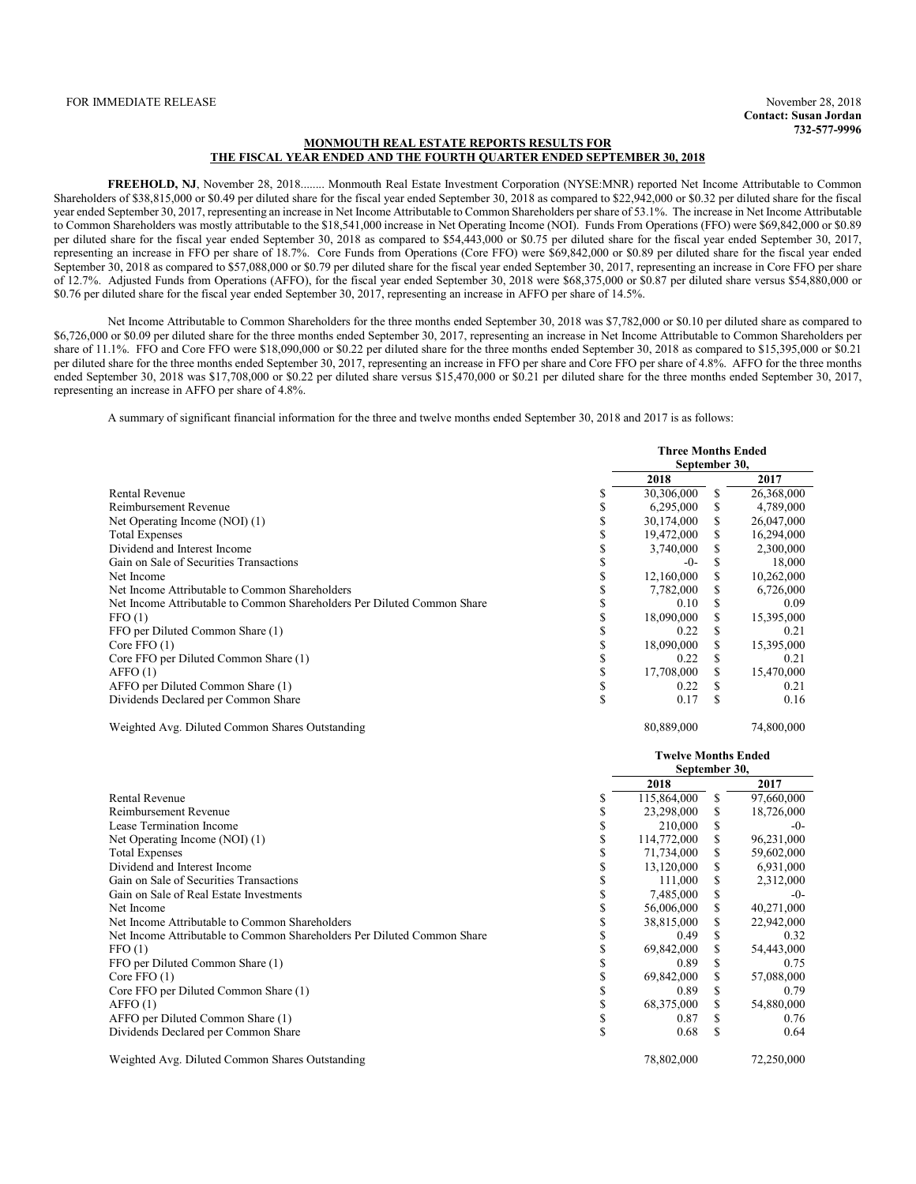### **MONMOUTH REAL ESTATE REPORTS RESULTS FOR THE FISCAL YEAR ENDED AND THE FOURTH QUARTER ENDED SEPTEMBER 30, 2018**

**FREEHOLD, NJ**, November 28, 2018........ Monmouth Real Estate Investment Corporation (NYSE:MNR) reported Net Income Attributable to Common Shareholders of \$38,815,000 or \$0.49 per diluted share for the fiscal year ended September 30, 2018 as compared to \$22,942,000 or \$0.32 per diluted share for the fiscal year ended September 30, 2017, representing an increase in Net Income Attributable to Common Shareholders per share of 53.1%. The increase in Net Income Attributable to Common Shareholders was mostly attributable to the \$18,541,000 increase in Net Operating Income (NOI). Funds From Operations (FFO) were \$69,842,000 or \$0.89 per diluted share for the fiscal year ended September 30, 2018 as compared to \$54,443,000 or \$0.75 per diluted share for the fiscal year ended September 30, 2017, representing an increase in FFO per share of 18.7%. Core Funds from Operations (Core FFO) were \$69,842,000 or \$0.89 per diluted share for the fiscal year ended September 30, 2018 as compared to \$57,088,000 or \$0.79 per diluted share for the fiscal year ended September 30, 2017, representing an increase in Core FFO per share of 12.7%. Adjusted Funds from Operations (AFFO), for the fiscal year ended September 30, 2018 were \$68,375,000 or \$0.87 per diluted share versus \$54,880,000 or \$0.76 per diluted share for the fiscal year ended September 30, 2017, representing an increase in AFFO per share of 14.5%.

Net Income Attributable to Common Shareholders for the three months ended September 30, 2018 was \$7,782,000 or \$0.10 per diluted share as compared to \$6,726,000 or \$0.09 per diluted share for the three months ended September 30, 2017, representing an increase in Net Income Attributable to Common Shareholders per share of 11.1%. FFO and Core FFO were \$18,090,000 or \$0.22 per diluted share for the three months ended September 30, 2018 as compared to \$15,395,000 or \$0.21 per diluted share for the three months ended September 30, 2017, representing an increase in FFO per share and Core FFO per share of 4.8%. AFFO for the three months ended September 30, 2018 was \$17,708,000 or \$0.22 per diluted share versus \$15,470,000 or \$0.21 per diluted share for the three months ended September 30, 2017, representing an increase in AFFO per share of 4.8%.

A summary of significant financial information for the three and twelve months ended September 30, 2018 and 2017 is as follows:

|                                                                         | <b>Three Months Ended</b><br>September 30, |  |            |
|-------------------------------------------------------------------------|--------------------------------------------|--|------------|
|                                                                         | 2018                                       |  | 2017       |
| Rental Revenue                                                          | 30,306,000                                 |  | 26,368,000 |
| Reimbursement Revenue                                                   | 6,295,000                                  |  | 4,789,000  |
| Net Operating Income (NOI) (1)                                          | 30,174,000                                 |  | 26,047,000 |
| <b>Total Expenses</b>                                                   | 19,472,000                                 |  | 16,294,000 |
| Dividend and Interest Income                                            | 3,740,000                                  |  | 2,300,000  |
| Gain on Sale of Securities Transactions                                 | $-0-$                                      |  | 18,000     |
| Net Income                                                              | 12,160,000                                 |  | 10,262,000 |
| Net Income Attributable to Common Shareholders                          | 7,782,000                                  |  | 6,726,000  |
| Net Income Attributable to Common Shareholders Per Diluted Common Share | 0.10                                       |  | 0.09       |
| FFO(1)                                                                  | 18,090,000                                 |  | 15,395,000 |
| FFO per Diluted Common Share (1)                                        | 0.22                                       |  | 0.21       |
| Core $FFO(1)$                                                           | 18,090,000                                 |  | 15,395,000 |
| Core FFO per Diluted Common Share (1)                                   | 0.22                                       |  | 0.21       |
| AFFO(1)                                                                 | 17,708,000                                 |  | 15,470,000 |
| AFFO per Diluted Common Share (1)                                       | 0.22                                       |  | 0.21       |
| Dividends Declared per Common Share                                     | 0.17                                       |  | 0.16       |

Weighted Avg. Diluted Common Shares Outstanding 80,889,000 80,889,000 74,800,000

|                                                                         |    | <b>Twelve Months Ended</b><br>September 30, |  |            |  |
|-------------------------------------------------------------------------|----|---------------------------------------------|--|------------|--|
|                                                                         |    | 2018                                        |  | 2017       |  |
| Rental Revenue                                                          |    | 115,864,000                                 |  | 97,660,000 |  |
| Reimbursement Revenue                                                   |    | 23,298,000                                  |  | 18,726,000 |  |
| Lease Termination Income                                                |    | 210,000                                     |  | -0-        |  |
| Net Operating Income (NOI) (1)                                          |    | 114,772,000                                 |  | 96,231,000 |  |
| <b>Total Expenses</b>                                                   |    | 71,734,000                                  |  | 59,602,000 |  |
| Dividend and Interest Income                                            | S  | 13,120,000                                  |  | 6,931,000  |  |
| Gain on Sale of Securities Transactions                                 |    | 111,000                                     |  | 2,312,000  |  |
| Gain on Sale of Real Estate Investments                                 |    | 7,485,000                                   |  | -0-        |  |
| Net Income                                                              |    | 56,006,000                                  |  | 40,271,000 |  |
| Net Income Attributable to Common Shareholders                          |    | 38,815,000                                  |  | 22,942,000 |  |
| Net Income Attributable to Common Shareholders Per Diluted Common Share |    | 0.49                                        |  | 0.32       |  |
| FFO(1)                                                                  |    | 69,842,000                                  |  | 54,443,000 |  |
| FFO per Diluted Common Share (1)                                        |    | 0.89                                        |  | 0.75       |  |
| Core FFO $(1)$                                                          |    | 69,842,000                                  |  | 57,088,000 |  |
| Core FFO per Diluted Common Share (1)                                   | \$ | 0.89                                        |  | 0.79       |  |
| AFFO(1)                                                                 |    | 68,375,000                                  |  | 54,880,000 |  |
| AFFO per Diluted Common Share (1)                                       | \$ | 0.87                                        |  | 0.76       |  |
| Dividends Declared per Common Share                                     | S  | 0.68                                        |  | 0.64       |  |
| Weighted Avg. Diluted Common Shares Outstanding                         |    | 78,802,000                                  |  | 72,250,000 |  |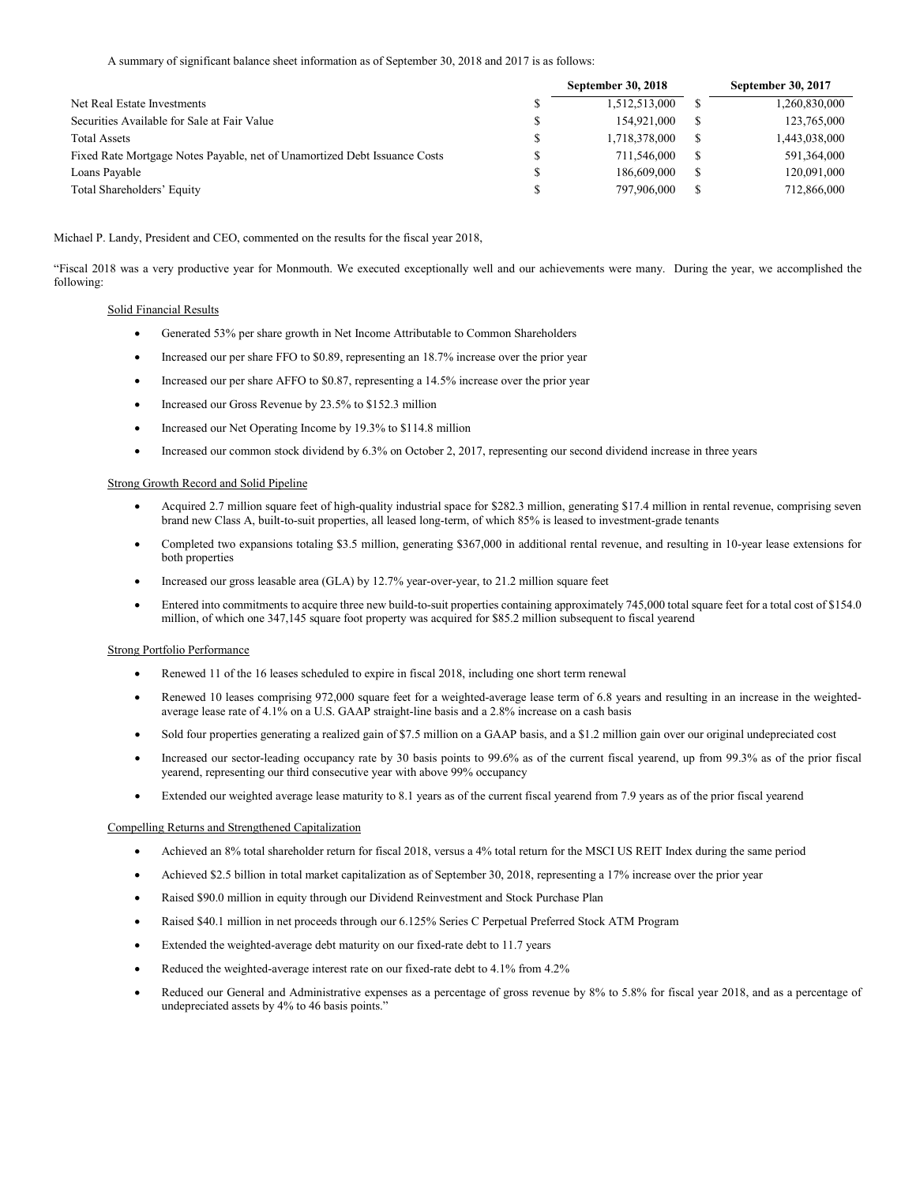A summary of significant balance sheet information as of September 30, 2018 and 2017 is as follows:

|                                                                           | <b>September 30, 2018</b> |   | <b>September 30, 2017</b> |
|---------------------------------------------------------------------------|---------------------------|---|---------------------------|
| Net Real Estate Investments                                               | 1,512,513,000             |   | 1,260,830,000             |
| Securities Available for Sale at Fair Value                               | 154.921.000               | S | 123,765,000               |
| <b>Total Assets</b>                                                       | 1,718,378,000             | S | 1,443,038,000             |
| Fixed Rate Mortgage Notes Payable, net of Unamortized Debt Issuance Costs | 711.546.000               | S | 591,364,000               |
| Loans Payable                                                             | 186,609,000               | S | 120,091,000               |
| Total Shareholders' Equity                                                | 797,906,000               | S | 712,866,000               |

Michael P. Landy, President and CEO, commented on the results for the fiscal year 2018,

"Fiscal 2018 was a very productive year for Monmouth. We executed exceptionally well and our achievements were many. During the year, we accomplished the following:

# Solid Financial Results

- Generated 53% per share growth in Net Income Attributable to Common Shareholders
- Increased our per share FFO to \$0.89, representing an 18.7% increase over the prior year
- Increased our per share AFFO to \$0.87, representing a 14.5% increase over the prior year
- Increased our Gross Revenue by 23.5% to \$152.3 million
- Increased our Net Operating Income by 19.3% to \$114.8 million
- Increased our common stock dividend by 6.3% on October 2, 2017, representing our second dividend increase in three years

# Strong Growth Record and Solid Pipeline

- Acquired 2.7 million square feet of high-quality industrial space for \$282.3 million, generating \$17.4 million in rental revenue, comprising seven brand new Class A, built-to-suit properties, all leased long-term, of which 85% is leased to investment-grade tenants
- Completed two expansions totaling \$3.5 million, generating \$367,000 in additional rental revenue, and resulting in 10-year lease extensions for both properties
- Increased our gross leasable area (GLA) by 12.7% year-over-year, to 21.2 million square feet
- Entered into commitments to acquire three new build-to-suit properties containing approximately 745,000 total square feet for a total cost of \$154.0 million, of which one 347,145 square foot property was acquired for \$85.2 million subsequent to fiscal yearend

# Strong Portfolio Performance

- Renewed 11 of the 16 leases scheduled to expire in fiscal 2018, including one short term renewal
- Renewed 10 leases comprising 972,000 square feet for a weighted-average lease term of 6.8 years and resulting in an increase in the weightedaverage lease rate of 4.1% on a U.S. GAAP straight-line basis and a 2.8% increase on a cash basis
- Sold four properties generating a realized gain of \$7.5 million on a GAAP basis, and a \$1.2 million gain over our original undepreciated cost
- Increased our sector-leading occupancy rate by 30 basis points to 99.6% as of the current fiscal yearend, up from 99.3% as of the prior fiscal yearend, representing our third consecutive year with above 99% occupancy
- Extended our weighted average lease maturity to 8.1 years as of the current fiscal yearend from 7.9 years as of the prior fiscal yearend

# Compelling Returns and Strengthened Capitalization

- Achieved an 8% total shareholder return for fiscal 2018, versus a 4% total return for the MSCI US REIT Index during the same period
- Achieved \$2.5 billion in total market capitalization as of September 30, 2018, representing a 17% increase over the prior year
- Raised \$90.0 million in equity through our Dividend Reinvestment and Stock Purchase Plan
- Raised \$40.1 million in net proceeds through our 6.125% Series C Perpetual Preferred Stock ATM Program
- Extended the weighted-average debt maturity on our fixed-rate debt to 11.7 years
- Reduced the weighted-average interest rate on our fixed-rate debt to 4.1% from 4.2%
- Reduced our General and Administrative expenses as a percentage of gross revenue by 8% to 5.8% for fiscal year 2018, and as a percentage of undepreciated assets by 4% to 46 basis points."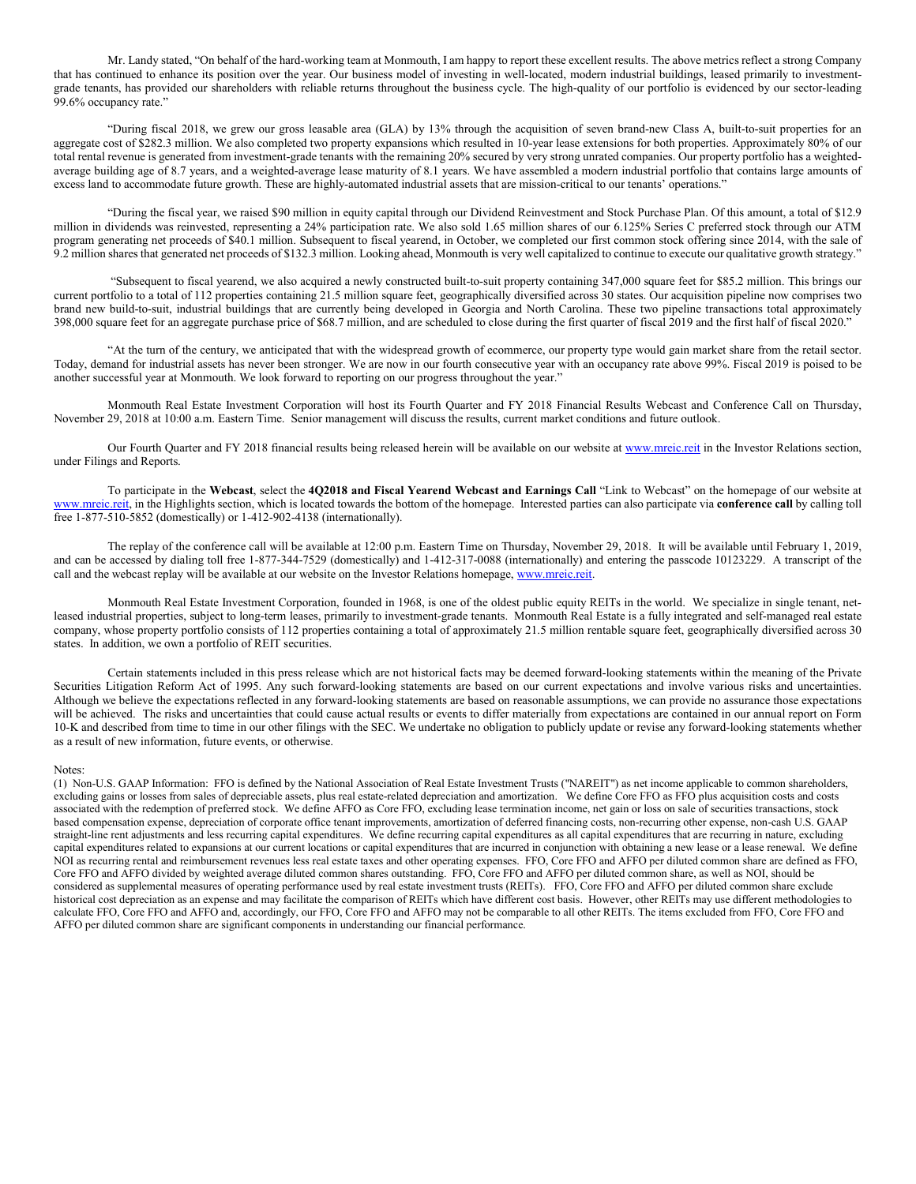Mr. Landy stated, "On behalf of the hard-working team at Monmouth, I am happy to report these excellent results. The above metrics reflect a strong Company that has continued to enhance its position over the year. Our business model of investing in well-located, modern industrial buildings, leased primarily to investmentgrade tenants, has provided our shareholders with reliable returns throughout the business cycle. The high-quality of our portfolio is evidenced by our sector-leading 99.6% occupancy rate.'

"During fiscal 2018, we grew our gross leasable area (GLA) by 13% through the acquisition of seven brand-new Class A, built-to-suit properties for an aggregate cost of \$282.3 million. We also completed two property expansions which resulted in 10-year lease extensions for both properties. Approximately 80% of our total rental revenue is generated from investment-grade tenants with the remaining 20% secured by very strong unrated companies. Our property portfolio has a weightedaverage building age of 8.7 years, and a weighted-average lease maturity of 8.1 years. We have assembled a modern industrial portfolio that contains large amounts of excess land to accommodate future growth. These are highly-automated industrial assets that are mission-critical to our tenants' operations."

"During the fiscal year, we raised \$90 million in equity capital through our Dividend Reinvestment and Stock Purchase Plan. Of this amount, a total of \$12.9 million in dividends was reinvested, representing a 24% participation rate. We also sold 1.65 million shares of our 6.125% Series C preferred stock through our ATM program generating net proceeds of \$40.1 million. Subsequent to fiscal yearend, in October, we completed our first common stock offering since 2014, with the sale of 9.2 million shares that generated net proceeds of \$132.3 million. Looking ahead, Monmouth is very well capitalized to continue to execute our qualitative growth strategy."

"Subsequent to fiscal yearend, we also acquired a newly constructed built-to-suit property containing 347,000 square feet for \$85.2 million. This brings our current portfolio to a total of 112 properties containing 21.5 million square feet, geographically diversified across 30 states. Our acquisition pipeline now comprises two brand new build-to-suit, industrial buildings that are currently being developed in Georgia and North Carolina. These two pipeline transactions total approximately 398,000 square feet for an aggregate purchase price of \$68.7 million, and are scheduled to close during the first quarter of fiscal 2019 and the first half of fiscal 2020."

"At the turn of the century, we anticipated that with the widespread growth of ecommerce, our property type would gain market share from the retail sector. Today, demand for industrial assets has never been stronger. We are now in our fourth consecutive year with an occupancy rate above 99%. Fiscal 2019 is poised to be another successful year at Monmouth. We look forward to reporting on our progress throughout the year."

Monmouth Real Estate Investment Corporation will host its Fourth Quarter and FY 2018 Financial Results Webcast and Conference Call on Thursday, November 29, 2018 at 10:00 a.m. Eastern Time. Senior management will discuss the results, current market conditions and future outlook.

Our Fourth Quarter and FY 2018 financial results being released herein will be available on our website at [www.mreic.reit](http://www.mreic.reit/) in the Investor Relations section, under Filings and Reports.

To participate in the **Webcast**, select the **4Q2018 and Fiscal Yearend Webcast and Earnings Call** "Link to Webcast" on the homepage of our website at [www.mreic.reit,](http://www.mreic.reit/) in the Highlights section, which is located towards the bottom of the homepage. Interested parties can also participate via **conference call** by calling toll free 1-877-510-5852 (domestically) or 1-412-902-4138 (internationally).

The replay of the conference call will be available at 12:00 p.m. Eastern Time on Thursday, November 29, 2018. It will be available until February 1, 2019, and can be accessed by dialing toll free 1-877-344-7529 (domestically) and 1-412-317-0088 (internationally) and entering the passcode 10123229. A transcript of the call and the webcast replay will be available at our website on the Investor Relations homepage[, www.mreic.reit.](http://www.mreic.reit/)

Monmouth Real Estate Investment Corporation, founded in 1968, is one of the oldest public equity REITs in the world. We specialize in single tenant, netleased industrial properties, subject to long-term leases, primarily to investment-grade tenants. Monmouth Real Estate is a fully integrated and self-managed real estate company, whose property portfolio consists of 112 properties containing a total of approximately 21.5 million rentable square feet, geographically diversified across 30 states. In addition, we own a portfolio of REIT securities.

Certain statements included in this press release which are not historical facts may be deemed forward-looking statements within the meaning of the Private Securities Litigation Reform Act of 1995. Any such forward-looking statements are based on our current expectations and involve various risks and uncertainties. Although we believe the expectations reflected in any forward-looking statements are based on reasonable assumptions, we can provide no assurance those expectations will be achieved. The risks and uncertainties that could cause actual results or events to differ materially from expectations are contained in our annual report on Form 10-K and described from time to time in our other filings with the SEC. We undertake no obligation to publicly update or revise any forward-looking statements whether as a result of new information, future events, or otherwise.

### Notes:

(1) Non-U.S. GAAP Information: FFO is defined by the National Association of Real Estate Investment Trusts ("NAREIT") as net income applicable to common shareholders, excluding gains or losses from sales of depreciable assets, plus real estate-related depreciation and amortization. We define Core FFO as FFO plus acquisition costs and costs associated with the redemption of preferred stock. We define AFFO as Core FFO, excluding lease termination income, net gain or loss on sale of securities transactions, stock based compensation expense, depreciation of corporate office tenant improvements, amortization of deferred financing costs, non-recurring other expense, non-cash U.S. GAAP straight-line rent adjustments and less recurring capital expenditures. We define recurring capital expenditures as all capital expenditures that are recurring in nature, excluding capital expenditures related to expansions at our current locations or capital expenditures that are incurred in conjunction with obtaining a new lease or a lease renewal. We define NOI as recurring rental and reimbursement revenues less real estate taxes and other operating expenses. FFO, Core FFO and AFFO per diluted common share are defined as FFO, Core FFO and AFFO divided by weighted average diluted common shares outstanding. FFO, Core FFO and AFFO per diluted common share, as well as NOI, should be considered as supplemental measures of operating performance used by real estate investment trusts (REITs). FFO, Core FFO and AFFO per diluted common share exclude historical cost depreciation as an expense and may facilitate the comparison of REITs which have different cost basis. However, other REITs may use different methodologies to calculate FFO, Core FFO and AFFO and, accordingly, our FFO, Core FFO and AFFO may not be comparable to all other REITs. The items excluded from FFO, Core FFO and AFFO per diluted common share are significant components in understanding our financial performance.